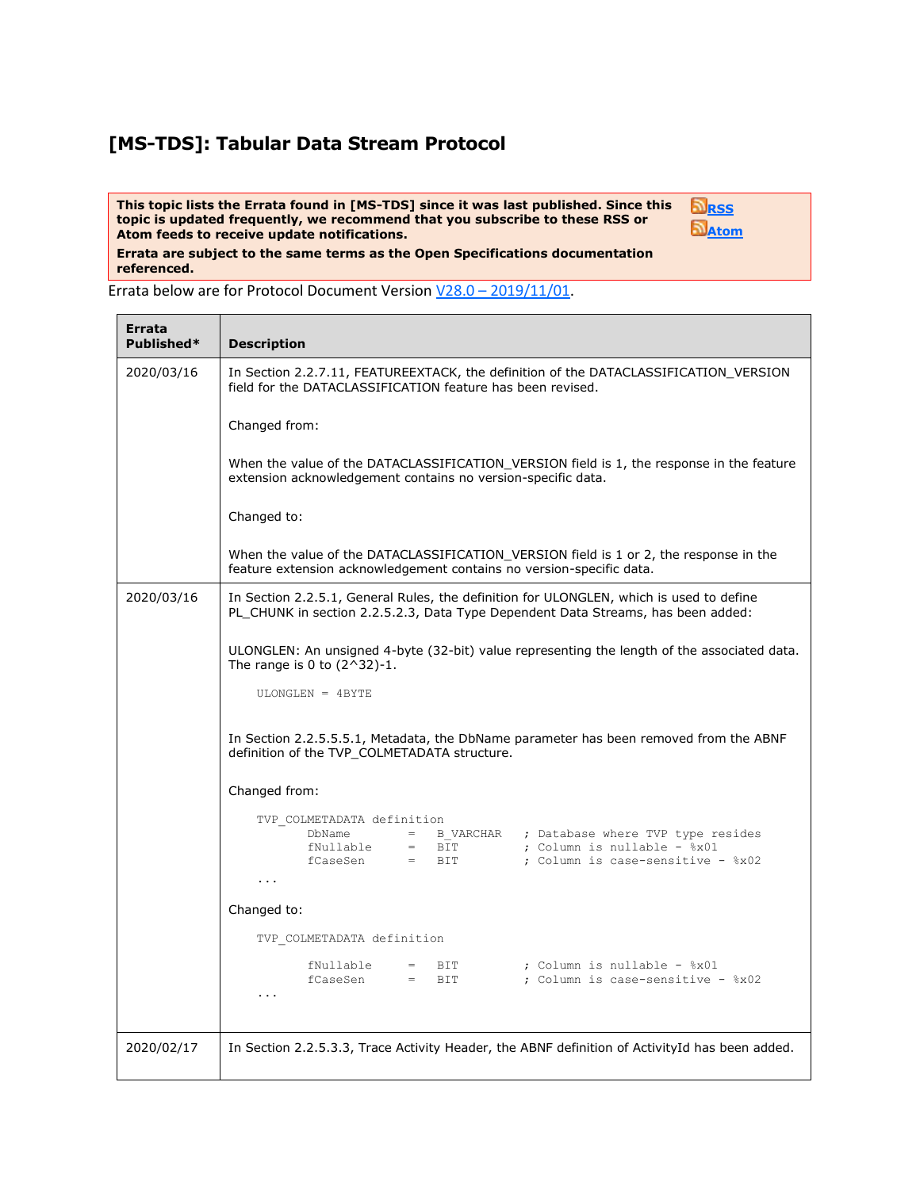## **[MS-TDS]: Tabular Data Stream Protocol**

**This topic lists the Errata found in [MS-TDS] since it was last published. Since this topic is updated frequently, we recommend that you subscribe to these RSS or Atom feeds to receive update notifications.**

**[RSS](http://blogs.msdn.com/b/protocol_content_errata/rss.aspx) [Atom](http://blogs.msdn.com/b/protocol_content_errata/atom.aspx)**

**Errata are subject to the same terms as the Open Specifications documentation referenced.**

Errata below are for Protocol Document Version V28.0 – [2019/11/01.](https://docs.microsoft.com/en-us/openspecs/windows_protocols/ms-tds/b46a581a-39de-4745-b076-ec4dbb7d13ec)

| Errata<br>Published* | <b>Description</b>                                                                                                                                                                                |  |  |  |  |
|----------------------|---------------------------------------------------------------------------------------------------------------------------------------------------------------------------------------------------|--|--|--|--|
| 2020/03/16           | In Section 2.2.7.11, FEATUREEXTACK, the definition of the DATACLASSIFICATION_VERSION<br>field for the DATACLASSIFICATION feature has been revised.                                                |  |  |  |  |
|                      | Changed from:                                                                                                                                                                                     |  |  |  |  |
|                      | When the value of the DATACLASSIFICATION VERSION field is 1, the response in the feature<br>extension acknowledgement contains no version-specific data.                                          |  |  |  |  |
|                      | Changed to:                                                                                                                                                                                       |  |  |  |  |
|                      | When the value of the DATACLASSIFICATION_VERSION field is 1 or 2, the response in the<br>feature extension acknowledgement contains no version-specific data.                                     |  |  |  |  |
| 2020/03/16           | In Section 2.2.5.1, General Rules, the definition for ULONGLEN, which is used to define<br>PL_CHUNK in section 2.2.5.2.3, Data Type Dependent Data Streams, has been added:                       |  |  |  |  |
|                      | ULONGLEN: An unsigned 4-byte (32-bit) value representing the length of the associated data.<br>The range is 0 to $(2^332)-1$ .                                                                    |  |  |  |  |
|                      | ULONGLEN = 4BYTE                                                                                                                                                                                  |  |  |  |  |
|                      | In Section 2.2.5.5.5.1, Metadata, the DbName parameter has been removed from the ABNF<br>definition of the TVP COLMETADATA structure.<br>Changed from:                                            |  |  |  |  |
|                      |                                                                                                                                                                                                   |  |  |  |  |
|                      | TVP COLMETADATA definition<br>DbName = B VARCHAR ; Database where TVP type resides<br>fNullable = BIT ; Column is nullable - %x01<br>fCaseSen = BIT ; Column is case-sensitive - %x02<br>$\cdots$ |  |  |  |  |
|                      | Changed to:                                                                                                                                                                                       |  |  |  |  |
|                      | TVP COLMETADATA definition                                                                                                                                                                        |  |  |  |  |
|                      | ; Column is nullable - %x01<br>fNullable<br>$=$ BIT<br>$fCaseSen = BIT$<br>; Column is case-sensitive - %x02<br>$\cdots$                                                                          |  |  |  |  |
| 2020/02/17           | In Section 2.2.5.3.3, Trace Activity Header, the ABNF definition of ActivityId has been added.                                                                                                    |  |  |  |  |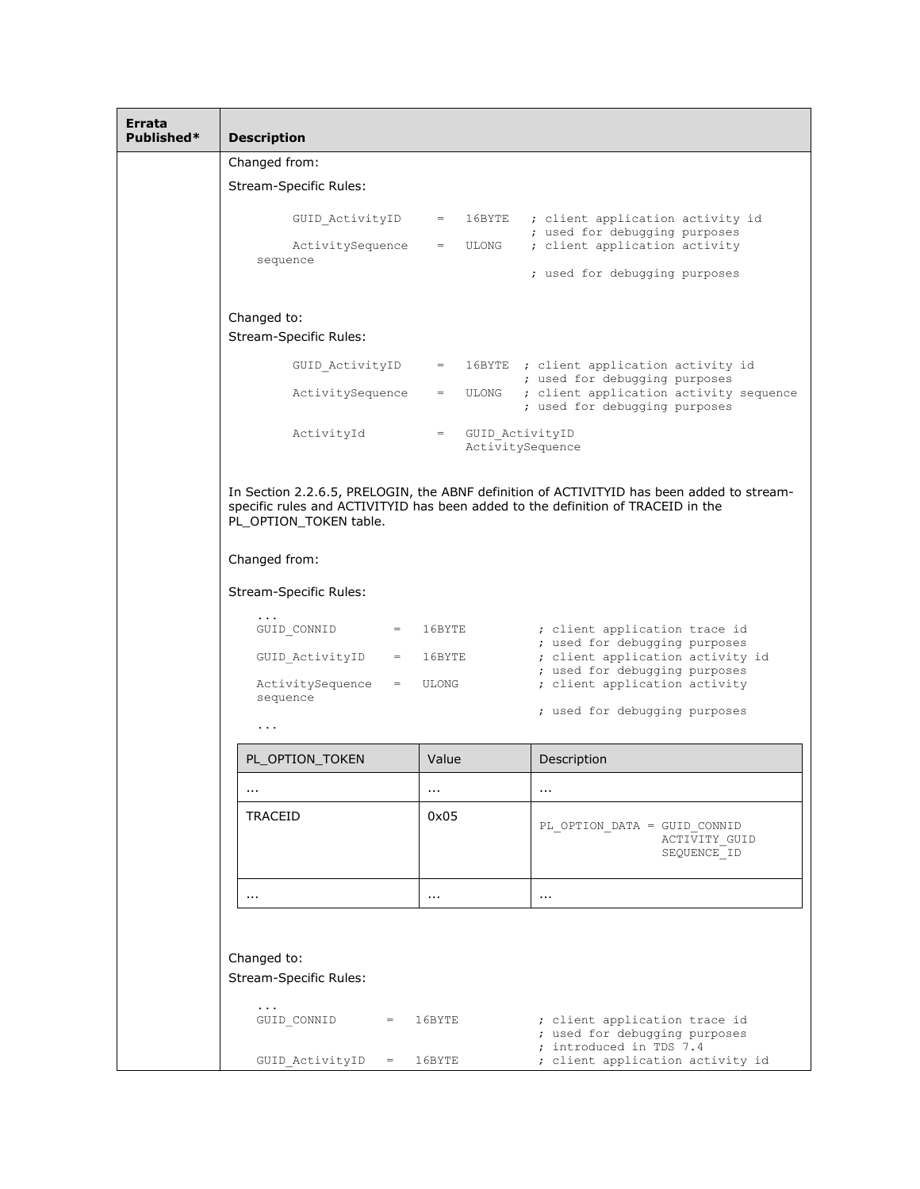| Errata<br>Published* | <b>Description</b>                                                                                                                                                                                      |                                                  |                                                                                           |  |  |  |
|----------------------|---------------------------------------------------------------------------------------------------------------------------------------------------------------------------------------------------------|--------------------------------------------------|-------------------------------------------------------------------------------------------|--|--|--|
|                      | Changed from:                                                                                                                                                                                           |                                                  |                                                                                           |  |  |  |
|                      | <b>Stream-Specific Rules:</b>                                                                                                                                                                           |                                                  |                                                                                           |  |  |  |
|                      | GUID ActivityID                                                                                                                                                                                         |                                                  | = 16BYTE ; client application activity id<br>; used for debugging purposes                |  |  |  |
|                      | ActivitySequence<br>sequence                                                                                                                                                                            | $=$ ULONG                                        | ; client application activity<br>; used for debugging purposes                            |  |  |  |
|                      |                                                                                                                                                                                                         |                                                  |                                                                                           |  |  |  |
|                      | Changed to:<br><b>Stream-Specific Rules:</b>                                                                                                                                                            |                                                  |                                                                                           |  |  |  |
|                      | GUID ActivityID                                                                                                                                                                                         |                                                  | = 16BYTE ; client application activity id<br>; used for debugging purposes                |  |  |  |
|                      | ActivitySequence                                                                                                                                                                                        | $=$ ULONG                                        | ; client application activity sequence<br>; used for debugging purposes                   |  |  |  |
|                      | ActivityId                                                                                                                                                                                              | = GUID ActivityID<br>ActivitySequence            |                                                                                           |  |  |  |
|                      | In Section 2.2.6.5, PRELOGIN, the ABNF definition of ACTIVITYID has been added to stream-<br>specific rules and ACTIVITYID has been added to the definition of TRACEID in the<br>PL_OPTION_TOKEN table. |                                                  |                                                                                           |  |  |  |
|                      | Changed from:                                                                                                                                                                                           |                                                  |                                                                                           |  |  |  |
|                      | Stream-Specific Rules:                                                                                                                                                                                  |                                                  |                                                                                           |  |  |  |
|                      | $\cdot$ $\cdot$ $\cdot$<br>GUID CONNID<br>$=$ $-$                                                                                                                                                       | 16BYTE                                           | ; client application trace id<br>; used for debugging purposes                            |  |  |  |
|                      | GUID ActivityID<br>$=$<br>ActivitySequence<br>$=$ .                                                                                                                                                     | 16BYTE<br>; used for debugging purposes<br>ULONG | ; client application activity id<br>; client application activity                         |  |  |  |
|                      | sequence                                                                                                                                                                                                |                                                  | ; used for debugging purposes                                                             |  |  |  |
|                      | .                                                                                                                                                                                                       |                                                  |                                                                                           |  |  |  |
|                      | PL_OPTION_TOKEN                                                                                                                                                                                         | Value                                            | Description                                                                               |  |  |  |
|                      | $\cdots$                                                                                                                                                                                                | $\sim$ $\sim$                                    | $\cdots$                                                                                  |  |  |  |
|                      | TRACEID                                                                                                                                                                                                 | 0x05                                             | PL OPTION DATA = GUID CONNID<br>ACTIVITY GUID<br>SEQUENCE ID                              |  |  |  |
|                      |                                                                                                                                                                                                         |                                                  |                                                                                           |  |  |  |
|                      | $\cdots$                                                                                                                                                                                                | $\sim$ $\sim$                                    | $\sim$ $\sim$                                                                             |  |  |  |
|                      |                                                                                                                                                                                                         |                                                  |                                                                                           |  |  |  |
|                      | Changed to:                                                                                                                                                                                             |                                                  |                                                                                           |  |  |  |
|                      | <b>Stream-Specific Rules:</b>                                                                                                                                                                           |                                                  |                                                                                           |  |  |  |
|                      | $\cdots$<br>GUID CONNID<br>$=$                                                                                                                                                                          | 16BYTE                                           | ; client application trace id<br>; used for debugging purposes<br>; introduced in TDS 7.4 |  |  |  |
|                      | GUID ActivityID<br>$=$                                                                                                                                                                                  | 16BYTE                                           | ; client application activity id                                                          |  |  |  |